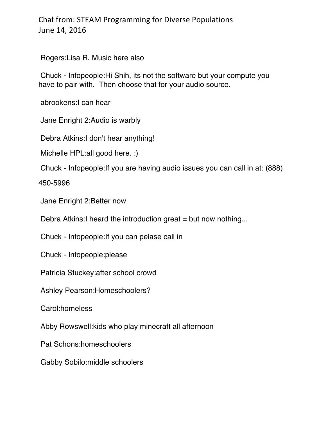Rogers:Lisa R. Music here also

Chuck - Infopeople:Hi Shih, its not the software but your compute you have to pair with. Then choose that for your audio source.

abrookens:I can hear

Jane Enright 2:Audio is warbly

Debra Atkins:I don't hear anything!

Michelle HPL:all good here. :)

Chuck - Infopeople:If you are having audio issues you can call in at: (888)

450-5996

Jane Enright 2:Better now

Debra Atkins: I heard the introduction great = but now nothing...

Chuck - Infopeople:If you can pelase call in

Chuck - Infopeople:please

Patricia Stuckey:after school crowd

Ashley Pearson:Homeschoolers?

Carol:homeless

Abby Rowswell:kids who play minecraft all afternoon

Pat Schons:homeschoolers

Gabby Sobilo:middle schoolers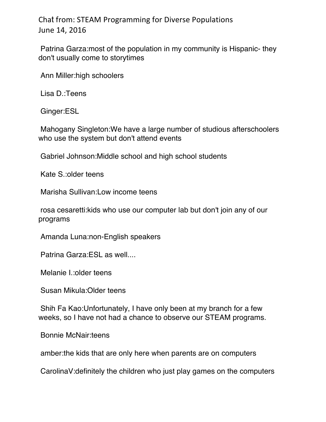Patrina Garza:most of the population in my community is Hispanic- they don't usually come to storytimes

Ann Miller:high schoolers

Lisa D.:Teens

Ginger:ESL

Mahogany Singleton:We have a large number of studious afterschoolers who use the system but don't attend events

Gabriel Johnson:Middle school and high school students

Kate S.:older teens

Marisha Sullivan:Low income teens

rosa cesaretti:kids who use our computer lab but don't join any of our programs

Amanda Luna:non-English speakers

Patrina Garza:ESL as well....

Melanie I.:older teens

Susan Mikula:Older teens

Shih Fa Kao:Unfortunately, I have only been at my branch for a few weeks, so I have not had a chance to observe our STEAM programs.

Bonnie McNair:teens

amber:the kids that are only here when parents are on computers

CarolinaV:definitely the children who just play games on the computers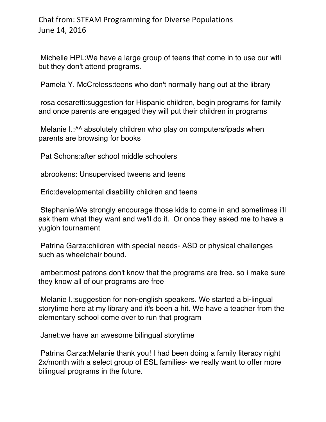Michelle HPL:We have a large group of teens that come in to use our wifi but they don't attend programs.

Pamela Y. McCreless:teens who don't normally hang out at the library

rosa cesaretti:suggestion for Hispanic children, begin programs for family and once parents are engaged they will put their children in programs

Melanie I.:<sup>^^</sup> absolutely children who play on computers/ipads when parents are browsing for books

Pat Schons:after school middle schoolers

abrookens: Unsupervised tweens and teens

Eric:developmental disability children and teens

Stephanie:We strongly encourage those kids to come in and sometimes i'll ask them what they want and we'll do it. Or once they asked me to have a yugioh tournament

Patrina Garza:children with special needs- ASD or physical challenges such as wheelchair bound.

amber:most patrons don't know that the programs are free. so i make sure they know all of our programs are free

Melanie I.:suggestion for non-english speakers. We started a bi-lingual storytime here at my library and it's been a hit. We have a teacher from the elementary school come over to run that program

Janet:we have an awesome bilingual storytime

Patrina Garza:Melanie thank you! I had been doing a family literacy night 2x/month with a select group of ESL families- we really want to offer more bilingual programs in the future.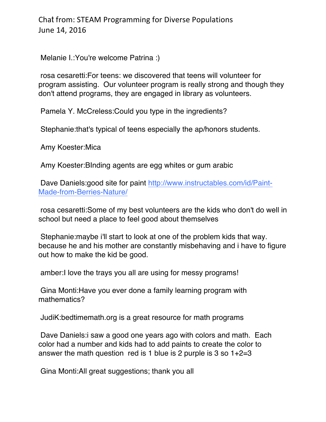Melanie I.:You're welcome Patrina :)

rosa cesaretti:For teens: we discovered that teens will volunteer for program assisting. Our volunteer program is really strong and though they don't attend programs, they are engaged in library as volunteers.

Pamela Y. McCreless:Could you type in the ingredients?

Stephanie:that's typical of teens especially the ap/honors students.

Amy Koester:Mica

Amy Koester:BInding agents are egg whites or gum arabic

Dave Daniels:good site for paint http://www.instructables.com/id/Paint-Made-from-Berries-Nature/

rosa cesaretti:Some of my best volunteers are the kids who don't do well in school but need a place to feel good about themselves

Stephanie:maybe i'll start to look at one of the problem kids that way. because he and his mother are constantly misbehaving and i have to figure out how to make the kid be good.

amber:I love the trays you all are using for messy programs!

Gina Monti:Have you ever done a family learning program with mathematics?

JudiK:bedtimemath.org is a great resource for math programs

Dave Daniels:i saw a good one years ago with colors and math. Each color had a number and kids had to add paints to create the color to answer the math question red is 1 blue is 2 purple is 3 so  $1+2=3$ 

Gina Monti:All great suggestions; thank you all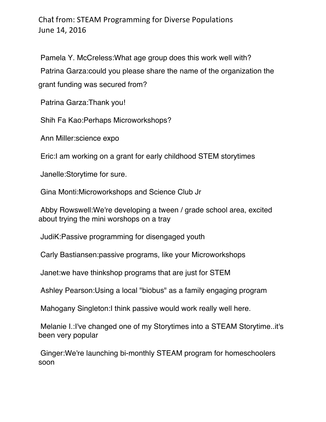Pamela Y. McCreless:What age group does this work well with? Patrina Garza:could you please share the name of the organization the grant funding was secured from?

Patrina Garza:Thank you!

Shih Fa Kao:Perhaps Microworkshops?

Ann Miller:science expo

Eric:I am working on a grant for early childhood STEM storytimes

Janelle:Storytime for sure.

Gina Monti:Microworkshops and Science Club Jr

Abby Rowswell:We're developing a tween / grade school area, excited about trying the mini worshops on a tray

JudiK:Passive programming for disengaged youth

Carly Bastiansen:passive programs, like your Microworkshops

Janet:we have thinkshop programs that are just for STEM

Ashley Pearson:Using a local "biobus" as a family engaging program

Mahogany Singleton:I think passive would work really well here.

Melanie I.:I've changed one of my Storytimes into a STEAM Storytime..it's been very popular

Ginger:We're launching bi-monthly STEAM program for homeschoolers soon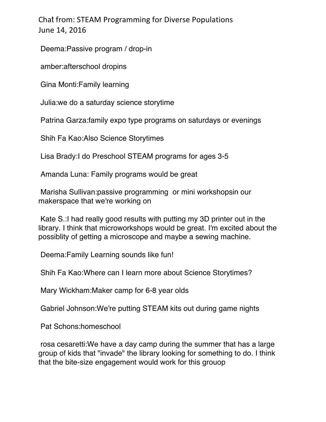Deema:Passive program / drop-in

amber:afterschool dropins

Gina Monti:Family learning

Julia:we do a saturday science storytime

Patrina Garza:family expo type programs on saturdays or evenings

Shih Fa Kao:Also Science Storytimes

Lisa Brady:I do Preschool STEAM programs for ages 3-5

Amanda Luna: Family programs would be great

Marisha Sullivan:passive programming or mini workshopsin our makerspace that we're working on

Kate S.:I had really good results with putting my 3D printer out in the library. I think that microworkshops would be great. I'm excited about the possiblity of getting a microscope and maybe a sewing machine.

Deema:Family Learning sounds like fun!

Shih Fa Kao:Where can I learn more about Science Storytimes?

Mary Wickham:Maker camp for 6-8 year olds

Gabriel Johnson:We're putting STEAM kits out during game nights

Pat Schons:homeschool

rosa cesaretti:We have a day camp during the summer that has a large group of kids that "invade" the library looking for something to do. I think that the bite-size engagement would work for this grouop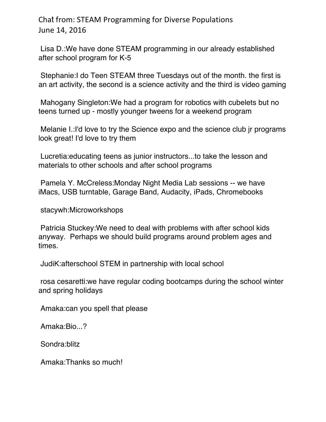Lisa D.:We have done STEAM programming in our already established after school program for K-5

Stephanie:I do Teen STEAM three Tuesdays out of the month. the first is an art activity, the second is a science activity and the third is video gaming

Mahogany Singleton:We had a program for robotics with cubelets but no teens turned up - mostly younger tweens for a weekend program

Melanie I.:I'd love to try the Science expo and the science club jr programs look great! I'd love to try them

Lucretia:educating teens as junior instructors...to take the lesson and materials to other schools and after school programs

Pamela Y. McCreless:Monday Night Media Lab sessions -- we have iMacs, USB turntable, Garage Band, Audacity, iPads, Chromebooks

stacywh:Microworkshops

Patricia Stuckey:We need to deal with problems with after school kids anyway. Perhaps we should build programs around problem ages and times.

JudiK:afterschool STEM in partnership with local school

rosa cesaretti:we have regular coding bootcamps during the school winter and spring holidays

Amaka:can you spell that please

Amaka:Bio...?

Sondra:blitz

Amaka:Thanks so much!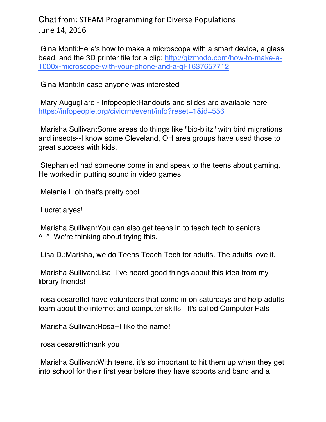Gina Monti:Here's how to make a microscope with a smart device, a glass bead, and the 3D printer file for a clip: http://gizmodo.com/how-to-make-a-1000x-microscope-with-your-phone-and-a-gl-1637657712

Gina Monti:In case anyone was interested

Mary Augugliaro - Infopeople:Handouts and slides are available here https://infopeople.org/civicrm/event/info?reset=1&id=556

Marisha Sullivan:Some areas do things like "bio-blitz" with bird migrations and insects--I know some Cleveland, OH area groups have used those to great success with kids.

Stephanie:I had someone come in and speak to the teens about gaming. He worked in putting sound in video games.

Melanie I.:oh that's pretty cool

Lucretia:yes!

Marisha Sullivan:You can also get teens in to teach tech to seniors. <sup>^</sup> We're thinking about trying this.

Lisa D.:Marisha, we do Teens Teach Tech for adults. The adults love it.

Marisha Sullivan:Lisa--I've heard good things about this idea from my library friends!

rosa cesaretti:I have volunteers that come in on saturdays and help adults learn about the internet and computer skills. It's called Computer Pals

Marisha Sullivan:Rosa--I like the name!

rosa cesaretti:thank you

Marisha Sullivan:With teens, it's so important to hit them up when they get into school for their first year before they have scports and band and a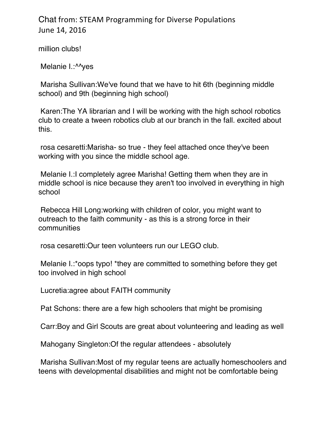million clubs!

Melanie I.: ^^yes

Marisha Sullivan:We've found that we have to hit 6th (beginning middle school) and 9th (beginning high school)

Karen:The YA librarian and I will be working with the high school robotics club to create a tween robotics club at our branch in the fall. excited about this.

rosa cesaretti:Marisha- so true - they feel attached once they've been working with you since the middle school age.

Melanie I.:I completely agree Marisha! Getting them when they are in middle school is nice because they aren't too involved in everything in high school

Rebecca Hill Long:working with children of color, you might want to outreach to the faith community - as this is a strong force in their communities

rosa cesaretti:Our teen volunteers run our LEGO club.

Melanie I.:\*oops typo! \*they are committed to something before they get too involved in high school

Lucretia:agree about FAITH community

Pat Schons: there are a few high schoolers that might be promising

Carr:Boy and Girl Scouts are great about volunteering and leading as well

Mahogany Singleton:Of the regular attendees - absolutely

Marisha Sullivan:Most of my regular teens are actually homeschoolers and teens with developmental disabilities and might not be comfortable being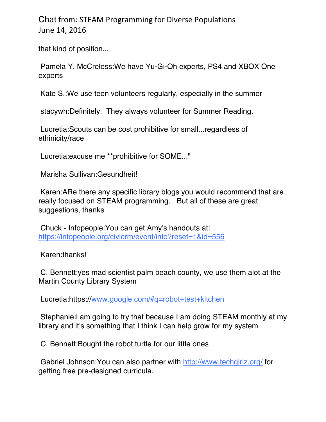that kind of position...

Pamela Y. McCreless:We have Yu-Gi-Oh experts, PS4 and XBOX One experts

Kate S.:We use teen volunteers regularly, especially in the summer

stacywh:Definitely. They always volunteer for Summer Reading.

Lucretia:Scouts can be cost prohibitive for small...regardless of ethinicity/race

Lucretia:excuse me \*\*prohibitive for SOME..."

Marisha Sullivan:Gesundheit!

Karen:ARe there any specific library blogs you would recommend that are really focused on STEAM programming. But all of these are great suggestions, thanks

Chuck - Infopeople:You can get Amy's handouts at: https://infopeople.org/civicrm/event/info?reset=1&id=556

Karen:thanks!

C. Bennett:yes mad scientist palm beach county, we use them alot at the Martin County Library System

Lucretia:https://www.google.com/#q=robot+test+kitchen

Stephanie:i am going to try that because I am doing STEAM monthly at my library and it's something that I think I can help grow for my system

C. Bennett:Bought the robot turtle for our little ones

Gabriel Johnson:You can also partner with http://www.techgirlz.org/ for getting free pre-designed curricula.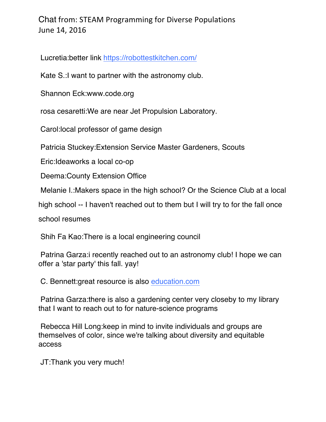Lucretia:better link https://robottestkitchen.com/

Kate S.:I want to partner with the astronomy club.

Shannon Eck:www.code.org

rosa cesaretti:We are near Jet Propulsion Laboratory.

Carol:local professor of game design

Patricia Stuckey:Extension Service Master Gardeners, Scouts

Eric:Ideaworks a local co-op

Deema:County Extension Office

Melanie I.:Makers space in the high school? Or the Science Club at a local

high school -- I haven't reached out to them but I will try to for the fall once

school resumes

Shih Fa Kao:There is a local engineering council

Patrina Garza:i recently reached out to an astronomy club! I hope we can offer a 'star party' this fall. yay!

C. Bennett:great resource is also education.com

Patrina Garza:there is also a gardening center very closeby to my library that I want to reach out to for nature-science programs

Rebecca Hill Long:keep in mind to invite individuals and groups are themselves of color, since we're talking about diversity and equitable access

JT:Thank you very much!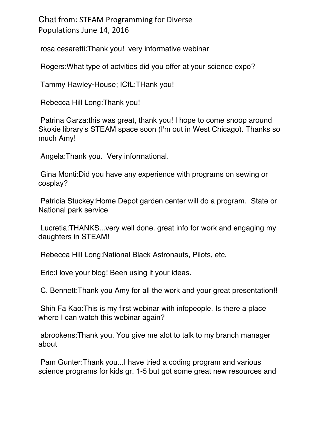rosa cesaretti:Thank you! very informative webinar

Rogers:What type of actvities did you offer at your science expo?

Tammy Hawley-House; ICfL:THank you!

Rebecca Hill Long:Thank you!

Patrina Garza:this was great, thank you! I hope to come snoop around Skokie library's STEAM space soon (I'm out in West Chicago). Thanks so much Amy!

Angela:Thank you. Very informational.

Gina Monti:Did you have any experience with programs on sewing or cosplay?

Patricia Stuckey:Home Depot garden center will do a program. State or National park service

Lucretia:THANKS...very well done. great info for work and engaging my daughters in STEAM!

Rebecca Hill Long:National Black Astronauts, Pilots, etc.

Eric:I love your blog! Been using it your ideas.

C. Bennett:Thank you Amy for all the work and your great presentation!!

Shih Fa Kao:This is my first webinar with infopeople. Is there a place where I can watch this webinar again?

abrookens:Thank you. You give me alot to talk to my branch manager about

Pam Gunter:Thank you...I have tried a coding program and various science programs for kids gr. 1-5 but got some great new resources and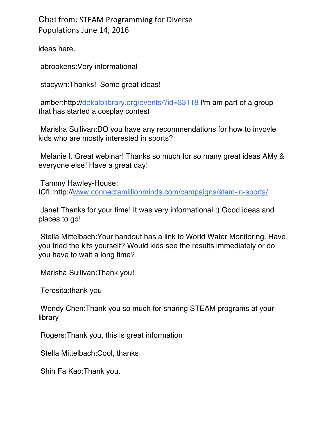ideas here.

abrookens:Very informational

stacywh:Thanks! Some great ideas!

amber:http://dekalblibrary.org/events/?id=33118 I'm am part of a group that has started a cosplay contest

Marisha Sullivan:DO you have any recommendations for how to invovle kids who are mostly interested in sports?

Melanie I.:Great webinar! Thanks so much for so many great ideas AMy & everyone else! Have a great day!

Tammy Hawley-House; ICfL:http://www.connectamillionminds.com/campaigns/stem-in-sports/

Janet:Thanks for your time! It was very informational :) Good ideas and places to go!

Stella Mittelbach:Your handout has a link to World Water Monitoring. Have you tried the kits yourself? Would kids see the results immediately or do you have to wait a long time?

Marisha Sullivan:Thank you!

Teresita:thank you

Wendy Chen:Thank you so much for sharing STEAM programs at your library

Rogers:Thank you, this is great information

Stella Mittelbach:Cool, thanks

Shih Fa Kao:Thank you.